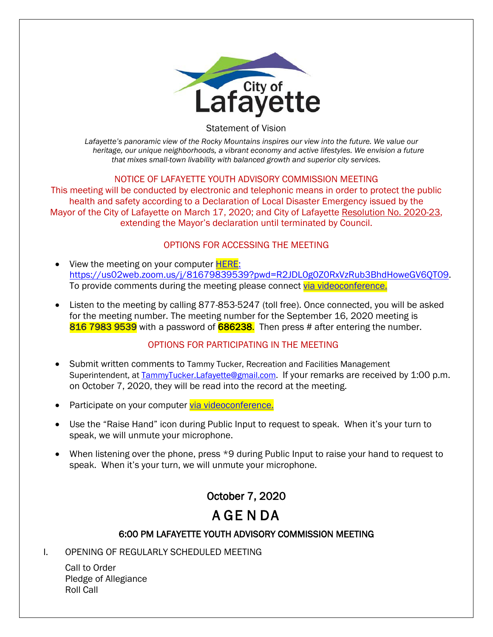

Statement of Vision

*Lafayette's panoramic view of the Rocky Mountains inspires our view into the future. We value our heritage, our unique neighborhoods, a vibrant economy and active lifestyles. We envision a future that mixes small-town livability with balanced growth and superior city services.*

### NOTICE OF LAFAYETTE YOUTH ADVISORY COMMISSION MEETING

This meeting will be conducted by electronic and telephonic means in order to protect the public health and safety according to a Declaration of Local Disaster Emergency issued by the Mayor of the City of Lafayette on March 17, 2020; and City of Lafayette Resolution No. 2020-23, extending the Mayor's declaration until terminated by Council.

### OPTIONS FOR ACCESSING THE MEETING

- View the meeting on your computer **HERE**: https://us02web.zoom.us/j/81679839539?pwd=R2JDL0g0Z0RxVzRub3BhdHoweGV6QT09. To provide comments during the meeting please connect [via videoconference.](https://us02web.zoom.us/j/81679839539?pwd=R2JDL0g0Z0RxVzRub3BhdHoweGV6QT09)
- Listen to the meeting by calling 877-853-5247 (toll free). Once connected, you will be asked for the meeting number. The meeting number for the September 16, 2020 meeting is 816 7983 9539 with a password of 686238. Then press # after entering the number.

## OPTIONS FOR PARTICIPATING IN THE MEETING

- Submit written comments to Tammy Tucker, Recreation and Facilities Management Superintendent, at [TammyTucker.Lafayette@gmail.com.](mailto:TammyTucker.Lafayette@gmail.com) If your remarks are received by 1:00 p.m. on October 7, 2020, they will be read into the record at the meeting.
- Participate on your computer [via videoconference.](https://us02web.zoom.us/j/81679839539?pwd=R2JDL0g0Z0RxVzRub3BhdHoweGV6QT09)
- Use the "Raise Hand" icon during Public Input to request to speak. When it's your turn to speak, we will unmute your microphone.
- When listening over the phone, press \*9 during Public Input to raise your hand to request to speak. When it's your turn, we will unmute your microphone.

# October 7, 2020 A GE N DA

# 6:00 PM LAFAYETTE YOUTH ADVISORY COMMISSION MEETING

I. OPENING OF REGULARLY SCHEDULED MEETING

Call to Order Pledge of Allegiance Roll Call